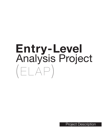# **Entry-Level** Analysis Project  $(ELAP)$

Project Description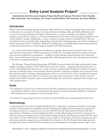# **Entry-Level Analysis Project\***

Submitted by the Entry-Level Analysis Project (ELAP) work group: Pat Archer, Clint Chandler, Rick Garbowski, Tom Lochhaas, Jim O'Hara, Cynthia Ribeiro, Elan Schacter, and Anne Williams

#### **Introduction**

What is entry-level massage therapy education? What should core content encompass? How many hours of education are necessary for learners to obtain the basic knowledge, skills, and abilities (KSAs) needed to enter the massage profession and build a viable practice or work successfully as an employee? Many regulatory agencies have settled on a 500-hour benchmark, but how they and the massage profession arrived at this number is unclear. Additionally, a variety of topics are taught within or excluded from a 500-hour curriculum based on the philosophy undergirding each particular training program. As well, the influence of federal student aid and/or a belief that 500 hours is insufficient to accomplish desired instructional goals has caused many institutions to set their program length at 650–900 clock hours.

As a result of these diverse decisions and influences, massage education in the United States can be characterized as inconsistent. While inconsistency in itself is not necessarily harmful in massage education, it has spawned problematic consequences – notably too many massage school graduates who experience short, unsuccessful careers and many geographically mobile therapists whose career development is stymied by barriers to credential portability.

The Massage Therapy Body of Knowledge (MTBOK) document details the depth and breadth of topics taught in massage programs of 500–1,000+ hours across the country — programs that prepare learners to sit for credentialing exams and work in a variety of service-oriented and/or health care-oriented settings. It provides an important piece of the massage education puzzle by capturing a complete set of concepts, terms, and activities taught in massage training programs. Now, we need to do more work to identify the essential elements of massage practice that are necessary in an entry-level curriculum; in other words, we need to identify the key KSAs required to pass a national licensing exam and provide competent, safe massage in an early massage career.

## **Goals**

- To implement an Entry-Level Analysis Project (ELAP) to delineate key learning outcomes schools can be encouraged to address in their core instructional programs to ensure attainment of KSAs for competent and safe application of massage in an early massage career.
- To assess how many program hours are needed to attain this KSA goal, assuming capable instruction.

# **Methodology**

A work group has been formed of eight individuals rich in experience in massage curriculum development, teaching, and assessment of established research. Working with skilled psychometricians, this group will develop questions for a companion survey to the FSMTB 2012 Job Task Analysis (JTA) that will allow segmentation of findings to provide insight into KSAs actually utilized and perceived to be important for safe and competent massage practice by individual massage therapists. Work group members will also assess the results of a newly administered employer survey, and the work products of previous profession projects addressing curricula, competencies, and standards for relevance to the ELAP goals. Knowledge garnered through these diverse activities will be funneled into the development of learning outcomes maps in each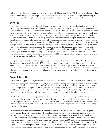topic area related to practitioner- and profession-identified important KSAs. Work group members will then analyze the learning outcomes maps, based on their own experience in curriculum design and teaching, to quantify estimated training hours necessary for students to become competent in these KSAs.

# **Benefits**

The new understanding gained through this project is expected to benefit the profession in a number of ways. The profession's leadership could make an informed statement regarding what constitutes evidencebased, minimum educational requirements a student should meet to qualify for a license to practice massage. Massage schools will have a blueprint of essential topics, key learning outcomes, and appropriate clock hours on which to base their foundation curriculum. Organizations accrediting massage programs potentially will gain a consensus view from the massage profession of core education components to factor into their accreditation expectations for program approval. Project outputs could be used to inform regulatory bodies about essential curriculum components, which, if broadly adopted, would help ensure greater consistency in massage education. The Federation of State Massage Therapy Boards (FSMTB) will have a more informed basis for the education component in its development of a Model Practice Act. Adoption of consistent core education requirements by multiple states could increase regulators' confidence and encourage the portability of credentials long sought by the massage profession. A broadly accepted foundational education core would allow for a more accurate differentiation of additional expected knowledge and competencies to qualify for certification and advanced credentialing.

Improving the consistency of massage education is important for the continued health and evolution of the massage profession; all the major U.S. stakeholder organizations have undertaken projects at various times that support this vision. With a clearly defined baseline, the massage profession will be in a better position to determine appropriate next steps, develop resources that help schools and professional therapists fill education gaps, and provide meaningful and informed leadership to both students and practicing massage therapists.

# **Project Activities**

- In March 2012, participating national organizations nominated candidates to participate in an interview process to populate a work group of six experienced massage educators (minimum requirements: massage curriculum development experience and at least five years of experience teaching massage-related topics in a massage therapy program preparing students to become licensed) and two education professionals holding a master's degree or doctorate in instructional design or a closely related subject. In fact, the selected massage educators each have experience substantially exceeding the minimum criteria.
- With collaborative input from psychometricians with prior experience working with the massage profession, the work group has begun writing early-career education-specific survey questions to identify KSAs required for safe, entry-level practice. The questions will help identify what therapists need to know and to be able to do in order to meet the needs of most clients in a beginning private practice or in early career employment.
- Survey questions will be asked within a companion survey to the FSMTB's 2012 JTA. Demographic and practice-descriptive information will be collected that permit segmentation and analysis of findings according to experience and practice success dimensions. One important group will be respondents who are in the early stages of their careers but who have been "market tested"—that is, who have been practicing massage from 12 to 48 months and have delivered at least 500 hours of massage during that time. As shown by their persistence for this time, this group has demonstrated perseverance and the skills to develop a functional practice or work productively as an employee. Another important group will be respondents displaying diverse indicia of long-term practice success. These and other methods of analysis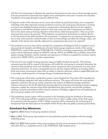will allow the work group to eliminate the experience bias present in most surveys about massage practice (veteran practitioners consistently have higher survey participation rates) and to examine the education foundations of massage therapists trained in different eras.

- Using the results of the education survey, survey data analysis by psychometricians, and a comparison of findings with other important massage profession resources, the work group will produce a learning outcomes map detailing learning outcomes, competencies, and learning objectives in the cognitive, psychomotor, and affective domains related to each early-career job task. Competencies are defined here in the classic sense as learning objectives written from a behavioral perspective. They are precise statements that answer the question, "What behavior can the learner demonstrate to indicate that he or she has mastered the skills specified in the instruction?" Competencies are important starting points, but to truly understand the needed breadth of entry-level knowledge and skills, the feelings, values, and attitudes of the learner (not typically addressed by competencies) also need to be captured.
- The profession resources that will be consulted for comparison of findings include an employer survey about perceived strengths and deficiencies of newly-hired massage employees, results of the current FSMTB JTA, results of the current NCBTMB JTA, COMTA curriculum competencies, the MTBOK project and its subsequent analysis by AFMTE, relevant AMTA and ABMP data on liability claims filed against massage therapists, and the attitudes and experiences of clients as compiled by consumer reports produced by ABMP, AMTA, and other organizations.
- The best and most useable learning outcomes maps are highly detailed and specific. The learning outcomes map that will be created in this project will enable the work group to accurately determine the amount of time needed to teach each identified content component and to recommend core entry-level education clock hours. To ensure a manageable process, the key outputs will focus on learning within a brick-and-mortar environment rather than on online or distance education, which is taught differently and is currently a small proportion of massage therapy foundational education.
- The work group will produce a preliminary project report (targeted for November 2012) detailing the research findings integrated with other profession resources. The report will review the work group's approach, summarize the survey results, summarize the analysis of additional massage profession resources relevant to the ELAP, defend the learning objectives taxonomy and learning outcomes mapping references, explain the selection of key KSAs identified from this research, and describe problems, solutions, research and synthesis of the research, summary of findings, suggested uses and application of the work group outputs, and conclusions.
- The preliminary project report will be presented to the leadership group for feedback in December 2012. The work group will then complete its task in time to allow a public release of the draft report for comment in the first quarter of 2013. Public comments will be reviewed by the work group and incorporated into the final report to be available within 60 days after the public comment period closes.

## **Scheduled Key Milestones**

- **April 13, 2012:** Project work group members selected.
- **May 2, 2012:** Work group representatives vet the preliminary project description with the massage leadership group.
- **May 3–4, 2012:** Initial project work group meeting to develop survey questions to be administered in June–July 2012 as a companion survey to the FSMTB Job Task Analysis survey.